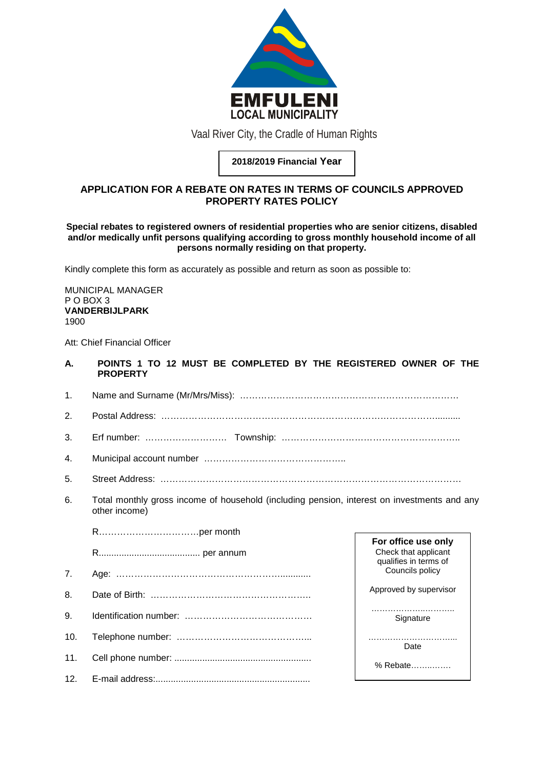

Vaal River City, the Cradle of Human Rights

**2018/2019 Financial Year**

# **APPLICATION FOR A REBATE ON RATES IN TERMS OF COUNCILS APPROVED PROPERTY RATES POLICY**

### **Special rebates to registered owners of residential properties who are senior citizens, disabled and/or medically unfit persons qualifying according to gross monthly household income of all persons normally residing on that property.**

Kindly complete this form as accurately as possible and return as soon as possible to:

MUNICIPAL MANAGER P O BOX 3 **VANDERBIJLPARK** 1900

Att: Chief Financial Officer

- **A. POINTS 1 TO 12 MUST BE COMPLETED BY THE REGISTERED OWNER OF THE PROPERTY**
- 1. Name and Surname (Mr/Mrs/Miss): ………………………………………………………………

2. Postal Address: ………………………………………………………………………………..........

- 3. Erf number: ……………………… Township: …………………………………………………..
- 4. Municipal account number ………………………………………..
- 5. Street Address: ………………………………………………………………………………………
- 6. Total monthly gross income of household (including pension, interest on investments and any other income)

R……………………………per month

R........................................ per annum

- 7. Age: ………………………………………………............
- 8. Date of Birth: ……………………………………………..
- 9. Identification number: ……………………………………
- 10. Telephone number: ……………………………………...
- 11. Cell phone number: ......................................................
- 12. E-mail address:.............................................................

**For office use only** Check that applicant qualifies in terms of Councils policy Approved by supervisor

> ………………… Signature

Date

% Rebate……..…….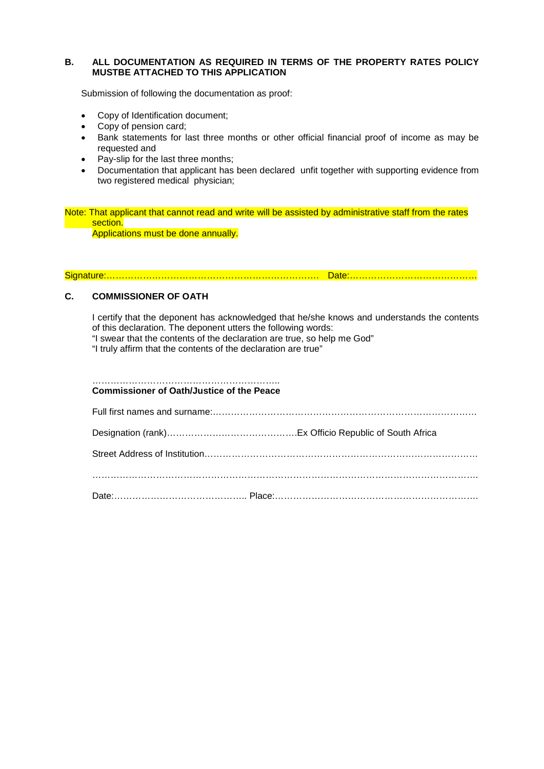## **B. ALL DOCUMENTATION AS REQUIRED IN TERMS OF THE PROPERTY RATES POLICY MUSTBE ATTACHED TO THIS APPLICATION**

Submission of following the documentation as proof:

- Copy of Identification document;
- Copy of pension card;
- Bank statements for last three months or other official financial proof of income as may be requested and
- Pay-slip for the last three months;
- Documentation that applicant has been declared unfit together with supporting evidence from two registered medical physician;

Note: That applicant that cannot read and write will be assisted by administrative staff from the rates section. Applications must be done annually.

Signature:……………………………………………………………. Date:……………………………………

## **C. COMMISSIONER OF OATH**

I certify that the deponent has acknowledged that he/she knows and understands the contents of this declaration. The deponent utters the following words:

"I swear that the contents of the declaration are true, so help me God"

"I truly affirm that the contents of the declaration are true"

#### …………………………………………………….. **Commissioner of Oath/Justice of the Peace**